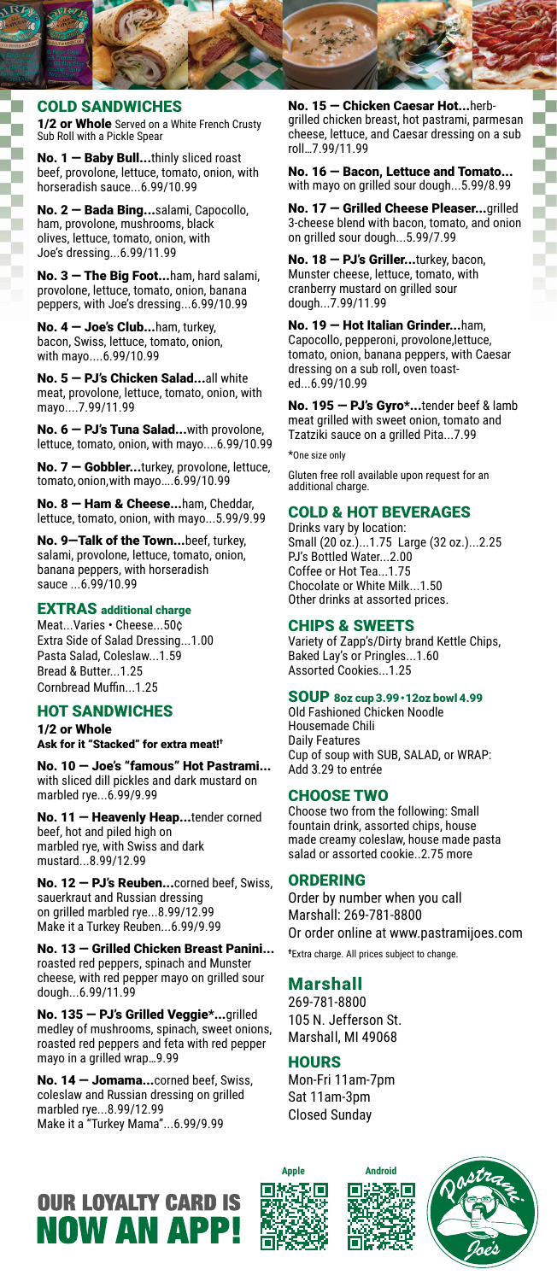# COLD SANDWICHES

1/2 or Whole Served on a White French Crusty Sub Roll with a Pickle Spear

No. 1 — Baby Bull...thinly sliced roast beef, provolone, lettuce, tomato, onion, with horseradish sauce...6.99/10.99

No. 2 — Bada Bing...salami, Capocollo, ham, provolone, mushrooms, black olives, lettuce, tomato, onion, with Joe's dressing...6.99/11.99

No. 3 - The Big Foot...ham, hard salami, provolone, lettuce, tomato, onion, banana peppers, with Joe's dressing...6.99/10.99

No. 4 — Joe's Club...ham, turkey, bacon, Swiss, lettuce, tomato, onion, with mayo....6.99/10.99

No. 5 — PJ's Chicken Salad...all white meat, provolone, lettuce, tomato, onion, with mayo....7.99/11.99

No. 6 — PJ's Tuna Salad...with provolone, lettuce, tomato, onion, with mayo....6.99/10.99

No. 7 - Gobbler...turkey, provolone, lettuce, tomato, onion, with mayo....6.99/10.99

No. 8 – Ham & Cheese...ham, Cheddar, lettuce, tomato, onion, with mayo...5.99/9.99

No. 9—Talk of the Town...beef, turkey, salami, provolone, lettuce, tomato, onion, banana peppers, with horseradish sauce ...6.99/10.99

#### EXTRAS additional charge

Meat...Varies • Cheese...50¢ Extra Side of Salad Dressing...1.00 Pasta Salad, Coleslaw...1.59 Bread & Butter...1.25 Cornbread Muffin...1.25

# HOT SANDWICHES

1/2 or Whole Ask for it "Stacked" for extra meat!†

No. 10 — Joe's "famous" Hot Pastrami... with sliced dill pickles and dark mustard on marbled rye...6.99/9.99

No. 11 - Heavenly Heap...tender corned beef, hot and piled high on marbled rye, with Swiss and dark mustard...8.99/12.99

No. 12 - PJ's Reuben...corned beef, Swiss, sauerkraut and Russian dressing on grilled marbled rye...8.99/12.99 Make it a Turkey Reuben...6.99/9.99

No. 13 — Grilled Chicken Breast Panini... roasted red peppers, spinach and Munster cheese, with red pepper mayo on grilled sour dough...6.99/11.99

No. 135 — PJ's Grilled Veggie\*...grilled medley of mushrooms, spinach, sweet onions, roasted red peppers and feta with red pepper mayo in a grilled wrap…9.99

No. 14 — Jomama...corned beef, Swiss, coleslaw and Russian dressing on grilled marbled rye...8.99/12.99 Make it a "Turkey Mama"...6.99/9.99

No. 15 — Chicken Caesar Hot...herbgrilled chicken breast, hot pastrami, parmesan cheese, lettuce, and Caesar dressing on a sub roll…7.99/11.99

No. 16 — Bacon, Lettuce and Tomato... with mayo on grilled sour dough...5.99/8.99

No. 17 — Grilled Cheese Pleaser...grilled 3-cheese blend with bacon, tomato, and onion on grilled sour dough...5.99/7.99

No. 18 - PJ's Griller...turkey, bacon, Munster cheese, lettuce, tomato, with cranberry mustard on grilled sour dough...7.99/11.99

No. 19 - Hot Italian Grinder...ham, Capocollo, pepperoni, provolone,lettuce, tomato, onion, banana peppers, with Caesar dressing on a sub roll, oven toasted...6.99/10.99

No. 195 - PJ's Gyro\*...tender beef & lamb meat grilled with sweet onion, tomato and Tzatziki sauce on a grilled Pita...7.99

\*One size only

Gluten free roll available upon request for an additional charge.

## COLD & HOT BEVERAGES

Drinks vary by location: Small (20 oz.)...1.75 Large (32 oz.)...2.25 PJ's Bottled Water...2.00 Coffee or Hot Tea...1.75 Chocolate or White Milk...1.50 Other drinks at assorted prices.

## CHIPS & SWEETS

Variety of Zapp's/Dirty brand Kettle Chips, Baked Lay's or Pringles...1.60 Assorted Cookies...1.25

## SOUP 8oz cup 3.99•12oz bowl 4.99

Old Fashioned Chicken Noodle Housemade Chili Daily Features Cup of soup with SUB, SALAD, or WRAP: Add 3.29 to entrée

## CHOOSE TWO

Choose two from the following: Small fountain drink, assorted chips, house made creamy coleslaw, house made pasta salad or assorted cookie..2.75 more

## ORDERING

Order by number when you call Marshall: 269-781-8800 Or order online at www.pastramijoes.com † Extra charge. All prices subject to change.

# Marshall

269-781-8800 105 N. Jefferson St. Marshall, MI 49068

## **HOURS**

Mon-Fri 11am-7pm Sat 11am-3pm Closed Sunday